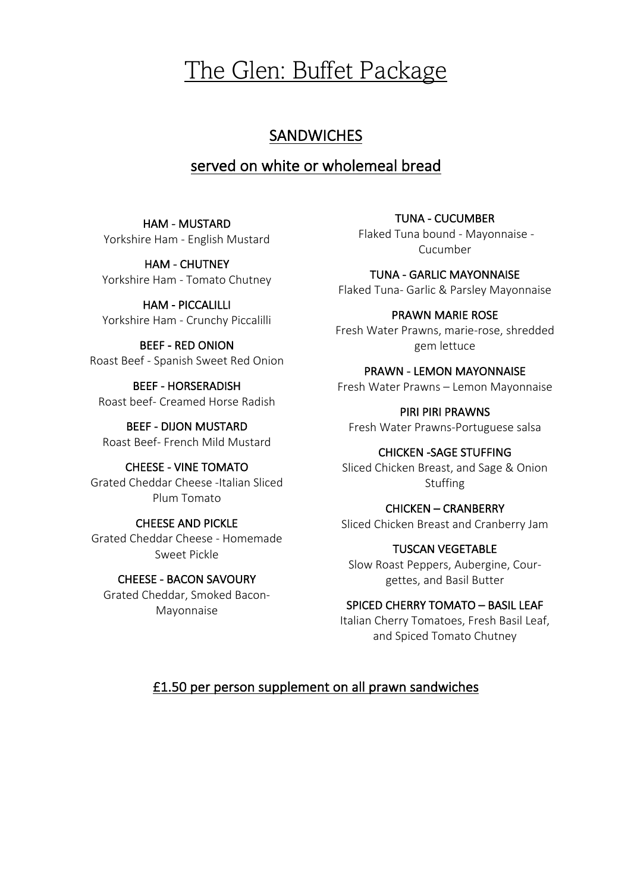# The Glen: Buffet Package

# **SANDWICHES**

# served on white or wholemeal bread

HAM - MUSTARD Yorkshire Ham - English Mustard

HAM - CHUTNEY Yorkshire Ham - Tomato Chutney

HAM - PICCALILLI Yorkshire Ham - Crunchy Piccalilli

BEEF - RED ONION Roast Beef - Spanish Sweet Red Onion

BEEF - HORSERADISH Roast beef- Creamed Horse Radish

BEEF - DIJON MUSTARD Roast Beef- French Mild Mustard

CHEESE - VINE TOMATO Grated Cheddar Cheese -Italian Sliced Plum Tomato

CHEESE AND PICKLE Grated Cheddar Cheese - Homemade Sweet Pickle

CHEESE - BACON SAVOURY Grated Cheddar, Smoked Bacon-Mayonnaise

TUNA - CUCUMBER Flaked Tuna bound - Mayonnaise - Cucumber

TUNA - GARLIC MAYONNAISE Flaked Tuna- Garlic & Parsley Mayonnaise

PRAWN MARIE ROSE Fresh Water Prawns, marie-rose, shredded gem lettuce

PRAWN - LEMON MAYONNAISE Fresh Water Prawns – Lemon Mayonnaise

PIRI PIRI PRAWNS Fresh Water Prawns-Portuguese salsa

CHICKEN -SAGE STUFFING Sliced Chicken Breast, and Sage & Onion Stuffing

CHICKEN – CRANBERRY Sliced Chicken Breast and Cranberry Jam

TUSCAN VEGETABLE Slow Roast Peppers, Aubergine, Courgettes, and Basil Butter

SPICED CHERRY TOMATO – BASIL LEAF Italian Cherry Tomatoes, Fresh Basil Leaf, and Spiced Tomato Chutney

### £1.50 per person supplement on all prawn sandwiches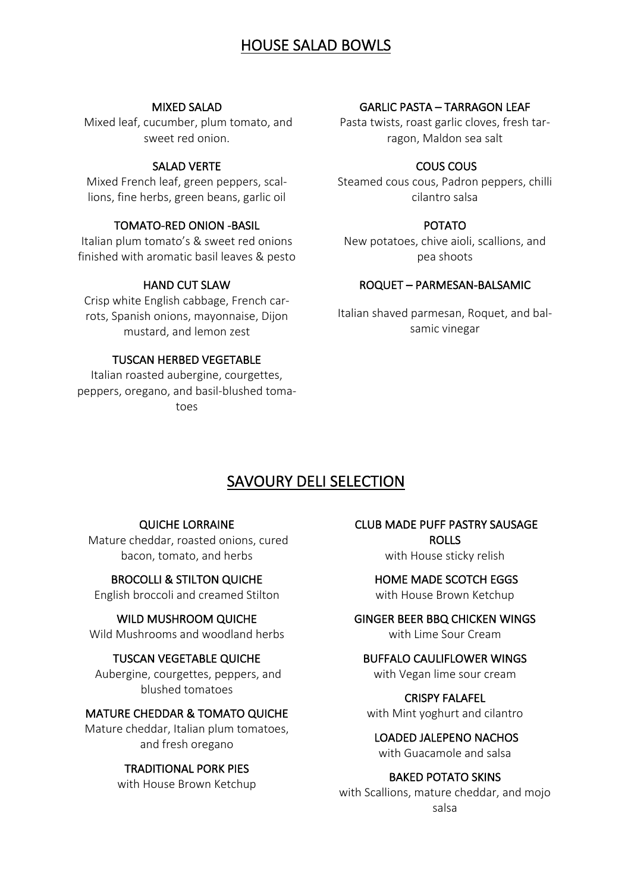## HOUSE SALAD BOWLS

#### MIXED SALAD

Mixed leaf, cucumber, plum tomato, and sweet red onion.

#### SALAD VERTE

Mixed French leaf, green peppers, scallions, fine herbs, green beans, garlic oil

#### TOMATO-RED ONION -BASIL

Italian plum tomato's & sweet red onions finished with aromatic basil leaves & pesto

#### HAND CUT SLAW

Crisp white English cabbage, French carrots, Spanish onions, mayonnaise, Dijon mustard, and lemon zest

#### TUSCAN HERBED VEGETABLE

Italian roasted aubergine, courgettes, peppers, oregano, and basil-blushed tomatoes

#### GARLIC PASTA – TARRAGON LEAF

Pasta twists, roast garlic cloves, fresh tarragon, Maldon sea salt

#### COUS COUS

Steamed cous cous, Padron peppers, chilli cilantro salsa

#### POTATO

New potatoes, chive aioli, scallions, and pea shoots

#### ROQUET – PARMESAN-BALSAMIC

Italian shaved parmesan, Roquet, and balsamic vinegar

### SAVOURY DELI SELECTION

#### QUICHE LORRAINE

Mature cheddar, roasted onions, cured bacon, tomato, and herbs

#### BROCOLLI & STILTON QUICHE

English broccoli and creamed Stilton

#### WILD MUSHROOM QUICHE

Wild Mushrooms and woodland herbs

#### TUSCAN VEGETABLE QUICHE

Aubergine, courgettes, peppers, and blushed tomatoes

#### MATURE CHEDDAR & TOMATO QUICHE

Mature cheddar, Italian plum tomatoes, and fresh oregano

#### TRADITIONAL PORK PIES

with House Brown Ketchup

 CLUB MADE PUFF PASTRY SAUSAGE ROLLS

with House sticky relish

 HOME MADE SCOTCH EGGS with House Brown Ketchup

#### GINGER BEER BBQ CHICKEN WINGS with Lime Sour Cream

### BUFFALO CAULIFLOWER WINGS

with Vegan lime sour cream

CRISPY FALAFEL with Mint yoghurt and cilantro

 LOADED JALEPENO NACHOS with Guacamole and salsa

#### BAKED POTATO SKINS

with Scallions, mature cheddar, and mojo salsa